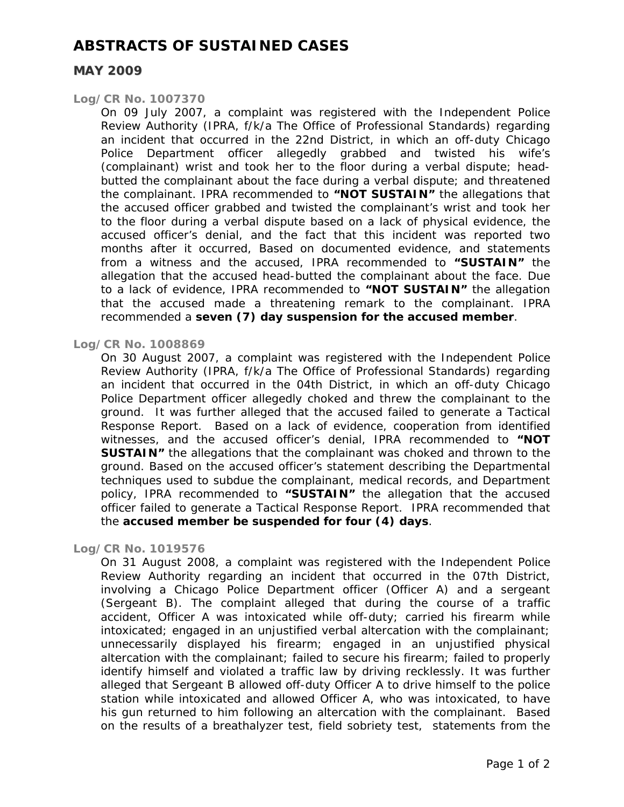## **ABSTRACTS OF SUSTAINED CASES**

## **MAY 2009**

#### *Log/CR No. 1007370*

On 09 July 2007, a complaint was registered with the Independent Police Review Authority (IPRA, f/k/a The Office of Professional Standards) regarding an incident that occurred in the 22nd District, in which an off-duty Chicago Police Department officer allegedly grabbed and twisted his wife's (complainant) wrist and took her to the floor during a verbal dispute; headbutted the complainant about the face during a verbal dispute; and threatened the complainant. IPRA recommended to **"NOT SUSTAIN"** the allegations that the accused officer grabbed and twisted the complainant's wrist and took her to the floor during a verbal dispute based on a lack of physical evidence, the accused officer's denial, and the fact that this incident was reported two months after it occurred, Based on documented evidence, and statements from a witness and the accused, IPRA recommended to **"SUSTAIN"** the allegation that the accused head-butted the complainant about the face. Due to a lack of evidence, IPRA recommended to **"NOT SUSTAIN"** the allegation that the accused made a threatening remark to the complainant. IPRA recommended a **seven (7) day suspension for the accused member**.

#### *Log/CR No. 1008869*

On 30 August 2007, a complaint was registered with the Independent Police Review Authority (IPRA, f/k/a The Office of Professional Standards) regarding an incident that occurred in the 04th District, in which an off-duty Chicago Police Department officer allegedly choked and threw the complainant to the ground. It was further alleged that the accused failed to generate a Tactical Response Report. Based on a lack of evidence, cooperation from identified witnesses, and the accused officer's denial, IPRA recommended to **"NOT SUSTAIN"** the allegations that the complainant was choked and thrown to the ground. Based on the accused officer's statement describing the Departmental techniques used to subdue the complainant, medical records, and Department policy, IPRA recommended to **"SUSTAIN"** the allegation that the accused officer failed to generate a Tactical Response Report. IPRA recommended that the **accused member be suspended for four (4) days**.

#### *Log/CR No. 1019576*

On 31 August 2008, a complaint was registered with the Independent Police Review Authority regarding an incident that occurred in the 07th District, involving a Chicago Police Department officer (Officer A) and a sergeant (Sergeant B). The complaint alleged that during the course of a traffic accident, Officer A was intoxicated while off-duty; carried his firearm while intoxicated; engaged in an unjustified verbal altercation with the complainant; unnecessarily displayed his firearm; engaged in an unjustified physical altercation with the complainant; failed to secure his firearm; failed to properly identify himself and violated a traffic law by driving recklessly. It was further alleged that Sergeant B allowed off-duty Officer A to drive himself to the police station while intoxicated and allowed Officer A, who was intoxicated, to have his gun returned to him following an altercation with the complainant. Based on the results of a breathalyzer test, field sobriety test, statements from the